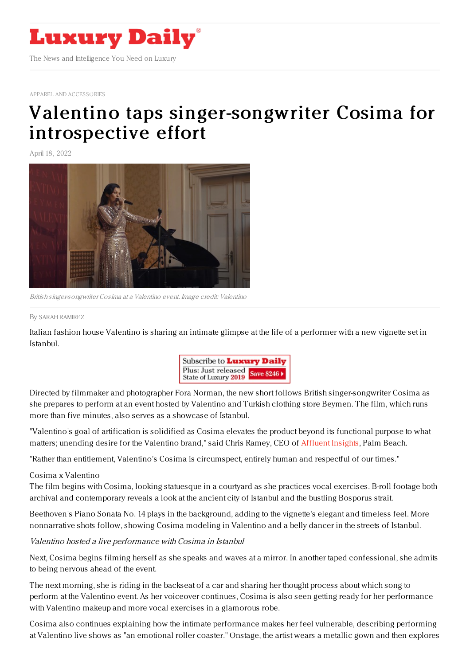

APPAREL AND [ACCESSORIES](https://www.luxurydaily.com/category/sectors/apparel-and-accessories/)

## Valentino taps [singer-songwriter](https://www.luxurydaily.com/valentino-cosima-istanbul/) Cosima for introspective effort

April 18, 2022



British singer-songwriter Cosima at <sup>a</sup> Valentino event. Image credit: Valentino

## By SARAH [RAMIREZ](file:///author/sarah-ramirez)

Italian fashion house Valentino is sharing an intimate glimpse at the life of a performer with a new vignette set in Istanbul.



Directed by filmmaker and photographer Fora Norman, the new short follows British singer-songwriter Cosima as she prepares to perform at an event hosted by Valentino and Turkish clothing store Beymen. The film, which runs more than five minutes, also serves as a showcase of Istanbul.

"Valentino's goal of artification is solidified as Cosima elevates the product beyond its functional purpose to what matters; unending desire for the Valentino brand," said Chris Ramey, CEO of [Affluent](https://designcenterinternational.org/) Insights, Palm Beach.

"Rather than entitlement, Valentino's Cosima is circumspect, entirely human and respectful of our times."

## Cosima x Valentino

The film begins with Cosima, looking statuesque in a courtyard as she practices vocal exercises. B-roll footage both archival and contemporary reveals a look at the ancient city of Istanbul and the bustling Bosporus strait.

Beethoven's Piano Sonata No. 14 plays in the background, adding to the vignette's elegant and timeless feel. More nonnarrative shots follow, showing Cosima modeling in Valentino and a belly dancer in the streets of Istanbul.

Valentino hosted <sup>a</sup> live performance with Cosima in Istanbul

Next, Cosima begins filming herself as she speaks and waves at a mirror. In another taped confessional, she admits to being nervous ahead of the event.

The next morning, she is riding in the backseat of a car and sharing her thought process about which song to perform at the Valentino event. As her voiceover continues, Cosima is also seen getting ready for her performance with Valentino makeup and more vocal exercises in a glamorous robe.

Cosima also continues explaining how the intimate performance makes her feel vulnerable, describing performing at Valentino live shows as "an emotional roller coaster." Onstage, the artist wears a metallic gown and then explores